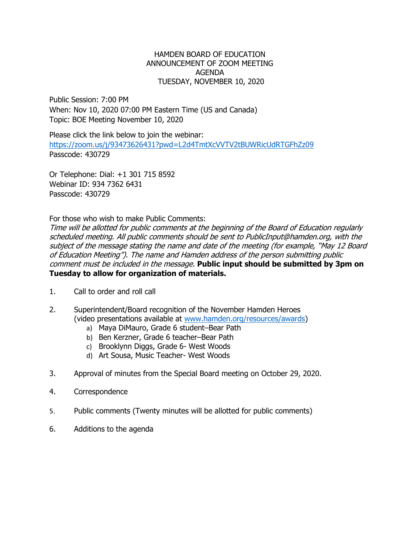## HAMDEN BOARD OF EDUCATION ANNOUNCEMENT OF ZOOM MEETING AGENDA TUESDAY, NOVEMBER 10, 2020

Public Session: 7:00 PM When: Nov 10, 2020 07:00 PM Eastern Time (US and Canada) Topic: BOE Meeting November 10, 2020

Please click the link below to join the webinar: <https://zoom.us/j/93473626431?pwd=L2d4TmtXcVVTV2tBUWRicUdRTGFhZz09> Passcode: 430729

Or Telephone: Dial: +1 301 715 8592 Webinar ID: 934 7362 6431 Passcode: 430729

For those who wish to make Public Comments:

Time will be allotted for public comments at the beginning of the Board of Education regularly scheduled meeting. All public comments should be sent to PublicInput@hamden.org, with the subject of the message stating the name and date of the meeting (for example, "May 12 Board of Education Meeting"). The name and Hamden address of the person submitting public comment must be included in the message. **Public input should be submitted by 3pm on Tuesday to allow for organization of materials.**

- 1. Call to order and roll call
- 2. Superintendent/Board recognition of the November Hamden Heroes (video presentations available at [www.hamden.org/resources/awards\)](http://www.hamden.org/resources/awards)
	- a) Maya DiMauro, Grade 6 student–Bear Path
	- b) Ben Kerzner, Grade 6 teacher–Bear Path
	- c) Brooklynn Diggs, Grade 6- West Woods
	- d) Art Sousa, Music Teacher- West Woods
- 3. Approval of minutes from the Special Board meeting on October 29, 2020.
- 4. Correspondence
- 5. Public comments (Twenty minutes will be allotted for public comments)
- 6. Additions to the agenda